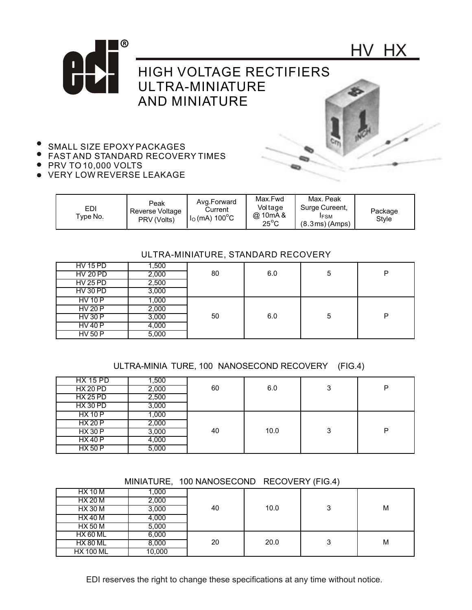



HV HX



- FAST AND STANDARD RECOVERY TIMES
- PRV TO 10,000 VOLTS
- VERY LOW REVERSE LEAKAGE

| EDI<br>Type No. | Peak<br>Reverse Voltage<br>PRV (Volts) | Avg.Forward<br>Current<br>$IO$ (mA) 100 $^{\circ}$ C | Max.Fwd<br>Voltage<br>@ 10mA &<br>$25^{\circ}$ C | Max. Peak<br>Surge Cureent,<br><b>IFSM</b><br>(8.3ms)(Amps) | Package<br>Style |
|-----------------|----------------------------------------|------------------------------------------------------|--------------------------------------------------|-------------------------------------------------------------|------------------|
|-----------------|----------------------------------------|------------------------------------------------------|--------------------------------------------------|-------------------------------------------------------------|------------------|

## ULTRA-MINIATURE, STANDARD RECOVERY

| <b>HV 15 PD</b> | 1,500 |    |     |   |   |
|-----------------|-------|----|-----|---|---|
| <b>HV 20 PD</b> | 2,000 | 80 | 6.0 | 5 | D |
| <b>HV 25 PD</b> | 2,500 |    |     |   |   |
| <b>HV 30 PD</b> | 3,000 |    |     |   |   |
| <b>HV 10 P</b>  | 1,000 |    |     |   |   |
| HV 20P          | 2,000 |    |     |   |   |
| <b>HV 30 P</b>  | 3,000 | 50 | 6.0 | 5 | D |
| HV40P           | 4,000 |    |     |   |   |
| <b>HV 50 P</b>  | 5,000 |    |     |   |   |

## ULTRA-MINIA TURE, 100 NANOSECOND RECOVERY (FIG.4)

| <b>HX 15 PD</b> | 500, ا |    |      |   |   |
|-----------------|--------|----|------|---|---|
| HX 20 PD        | 2,000  | 60 | 6.0  | 3 | P |
| <b>HX 25 PD</b> | 2,500  |    |      |   |   |
| <b>HX 30 PD</b> | 3,000  |    |      |   |   |
| <b>HX 10 P</b>  | 1.000  |    |      |   |   |
| HX 20 P         | 2,000  |    |      |   |   |
| <b>HX 30 P</b>  | 3,000  | 40 | 10.0 | 3 | P |
| <b>HX40P</b>    | 4,000  |    |      |   |   |
| <b>HX 50 P</b>  | 5,000  |    |      |   |   |

## MINIATURE, 100 NANOSECOND RECOVERY (FIG.4)

| HX 10 M          | 1.000  |    |      |        |   |
|------------------|--------|----|------|--------|---|
| <b>HX 20 M</b>   | 2,000  |    |      |        |   |
| <b>HX 30 M</b>   | 3,000  | 40 | 10.0 | ິ<br>J | M |
| HX 40 M          | 4,000  |    |      |        |   |
| <b>HX 50 M</b>   | 5,000  |    |      |        |   |
| <b>HX 60 ML</b>  | 6,000  |    |      |        |   |
| <b>HX 80 ML</b>  | 8,000  | 20 | 20.0 | ິ<br>w | M |
| <b>HX 100 ML</b> | 10,000 |    |      |        |   |

EDI reserves the right to change these specifications at any time without notice.